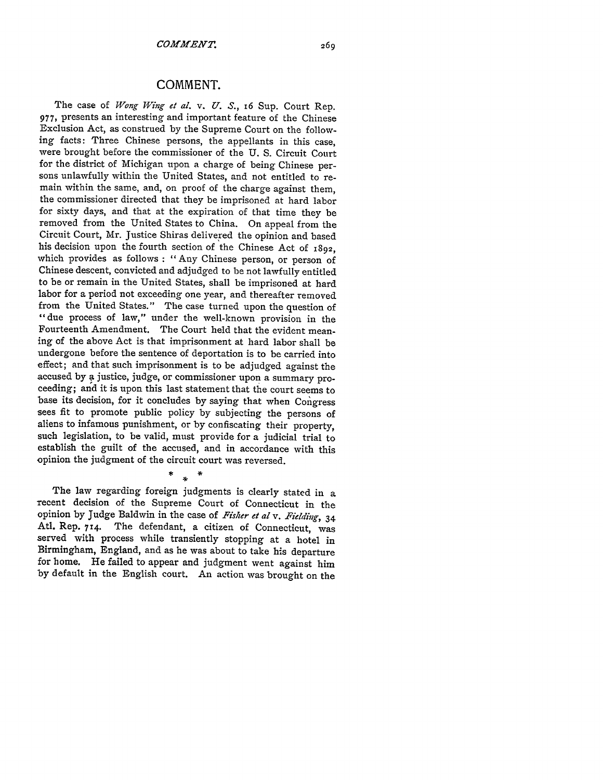## **COMMENT.**

The case of *Wong Wing et al. v. U. S.,* 16 Sup. Court Rep. 977, presents an interesting and important feature of the Chinese Exclusion Act, as construed by the Supreme Court on the following facts: Three Chinese persons, the appellants in this case, were brought before the commissioner of the U. S. Circuit Court for the district of Michigan upon a charge of being Chinese persons unlawfully within the United States, and not entitled to remain within the same, and, on proof of the charge against them, the commissioner directed that they be imprisoned at hard labor for sixty days, and that at the expiration of that time they be removed from the United States to China. On appeal from the Circuit Court, Mr. Justice Shiras delivered the opinion and based his decision upon the fourth section of the Chinese Act of 1892, which provides as follows : "Any Chinese person, or person of Chinese descent, convicted and adjudged to be not lawfully entitled to be or remain in the United States, shall be imprisoned at hard labor for a period not exceeding one year, and thereafter removed from the United States." The case turned upon the question of "due process of law," under the well-known provision in the Fourteenth Amendment. The Court held that the evident meaning of the above Act is that imprisonment at hard labor shall be undergone before the sentence of deportation is to be carried into effect; and that such imprisonment is to be adjudged against the accused by a justice, judge, or commissioner upon a summary proceeding; and it is upon this last statement that the court seems to base its decision, for it concludes by saying that when Congress sees fit to promote public policy by subjecting the persons of aliens to infamous punishment, or by confiscating their property, such legislation, to be valid, must provide for a judicial trial to establish the guilt of the accused, and in accordance with this opinion the judgment of the circuit court was reversed.

The law regarding foreign judgments is clearly stated in a recent decision of the Supreme Court of Connecticut in the opinion by Judge Baldwin in the case of *Fisher* et al v. *Fielding,* <sup>34</sup> Atl. Rep. 714. The defendant, a citizen of Connecticut, was served with process while transiently stopping at a hotel in Birmingham, England, and as he was about to take his departure for home. He failed to appear and judgment went against him by default in the English court. An action was brought on the

 $\ast$